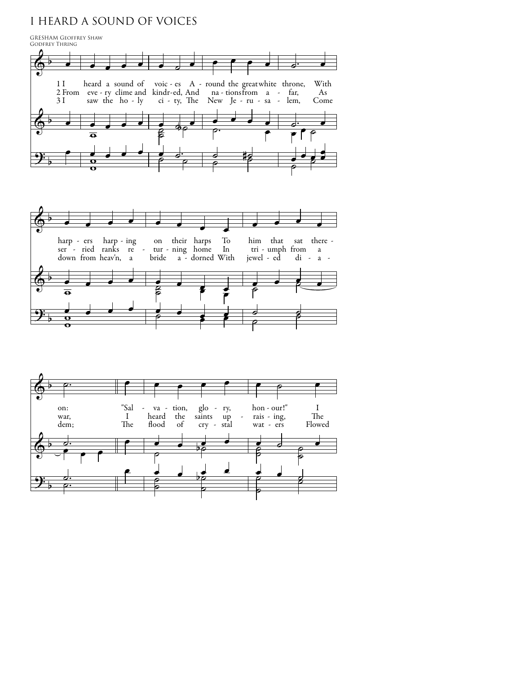## I HEARD A SOUND OF VOICES

GRESHAM GEOFFREY SHAW<br>GODFREY THRING